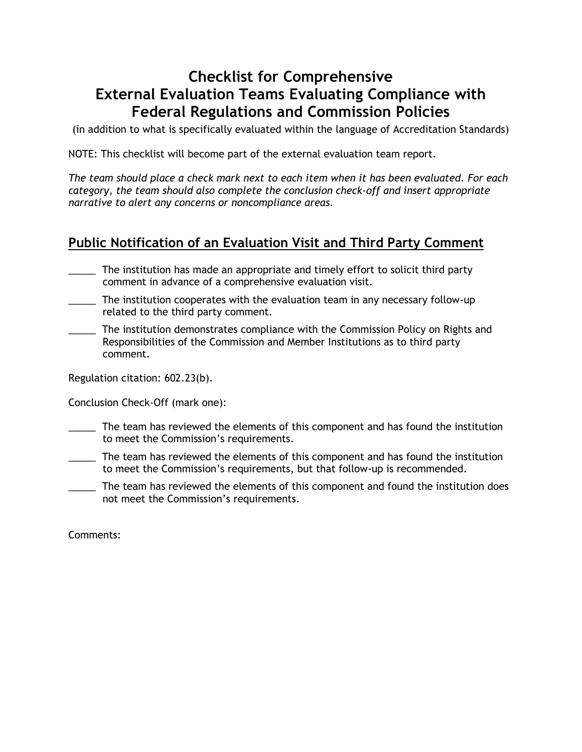# **Checklist for Comprehensive External Evaluation Teams Evaluating Compliance with Federal Regulations and Commission Policies**

(in addition to what is specifically evaluated within the language of Accreditation Standards)

NOTE: This checklist will become part of the external evaluation team report.

*The team should place a check mark next to each item when it has been evaluated. For each category, the team should also complete the conclusion check-off and insert appropriate narrative to alert any concerns or noncompliance areas.* 

## **Public Notification of an Evaluation Visit and Third Party Comment**

- \_\_\_\_\_ The institution has made an appropriate and timely effort to solicit third party comment in advance of a comprehensive evaluation visit.
- \_\_\_\_\_ The institution cooperates with the evaluation team in any necessary follow-up related to the third party comment.
- The institution demonstrates compliance with the Commission Policy on Rights and Responsibilities of the Commission and Member Institutions as to third party comment.

Regulation citation: 602.23(b).

Conclusion Check-Off (mark one):

- \_\_\_\_\_ The team has reviewed the elements of this component and has found the institution to meet the Commission's requirements.
- \_\_\_\_\_ The team has reviewed the elements of this component and has found the institution to meet the Commission's requirements, but that follow-up is recommended.
- The team has reviewed the elements of this component and found the institution does not meet the Commission's requirements.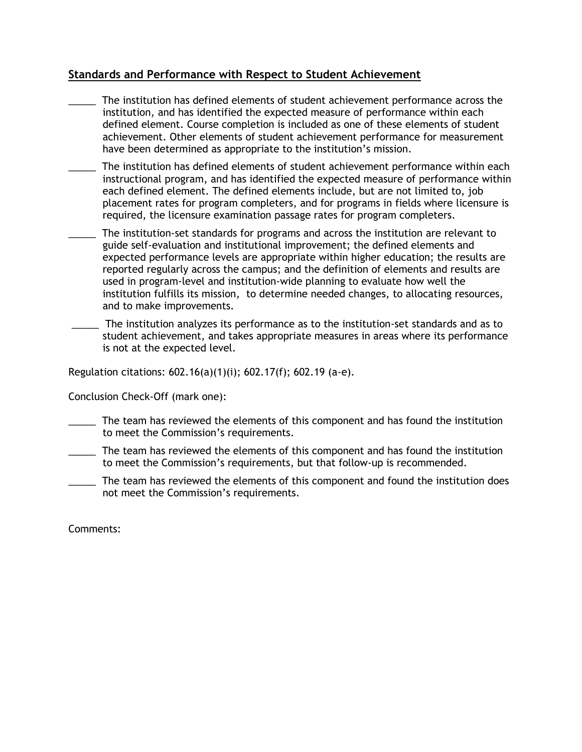## **Standards and Performance with Respect to Student Achievement**

- \_\_\_\_\_ The institution has defined elements of student achievement performance across the institution, and has identified the expected measure of performance within each defined element. Course completion is included as one of these elements of student achievement. Other elements of student achievement performance for measurement have been determined as appropriate to the institution's mission.
- The institution has defined elements of student achievement performance within each instructional program, and has identified the expected measure of performance within each defined element. The defined elements include, but are not limited to, job placement rates for program completers, and for programs in fields where licensure is required, the licensure examination passage rates for program completers.
- The institution-set standards for programs and across the institution are relevant to guide self-evaluation and institutional improvement; the defined elements and expected performance levels are appropriate within higher education; the results are reported regularly across the campus; and the definition of elements and results are used in program-level and institution-wide planning to evaluate how well the institution fulfills its mission, to determine needed changes, to allocating resources, and to make improvements.
	- \_\_\_\_\_ The institution analyzes its performance as to the institution-set standards and as to student achievement, and takes appropriate measures in areas where its performance is not at the expected level.

Regulation citations: 602.16(a)(1)(i); 602.17(f); 602.19 (a-e).

Conclusion Check-Off (mark one):

- \_\_\_\_\_ The team has reviewed the elements of this component and has found the institution to meet the Commission's requirements.
- \_\_\_\_\_ The team has reviewed the elements of this component and has found the institution to meet the Commission's requirements, but that follow-up is recommended.
- The team has reviewed the elements of this component and found the institution does not meet the Commission's requirements.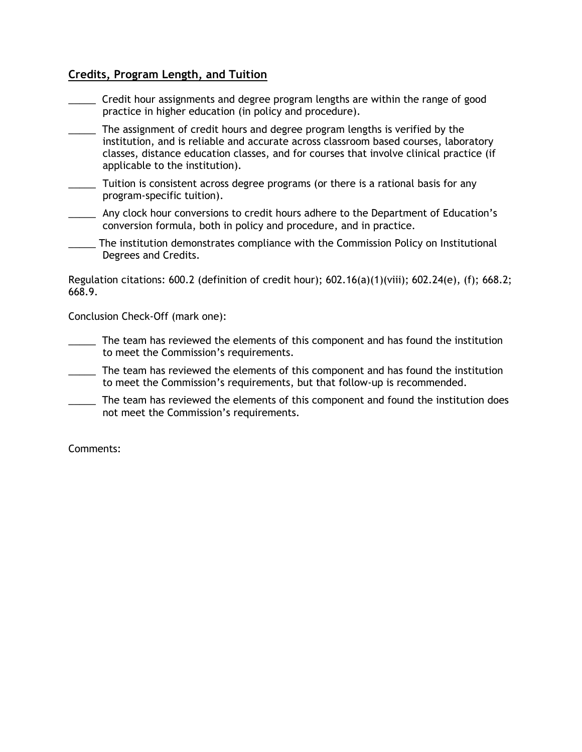## **Credits, Program Length, and Tuition**

- \_\_\_\_\_ Credit hour assignments and degree program lengths are within the range of good practice in higher education (in policy and procedure).
- \_\_\_\_\_ The assignment of credit hours and degree program lengths is verified by the institution, and is reliable and accurate across classroom based courses, laboratory classes, distance education classes, and for courses that involve clinical practice (if applicable to the institution).
- \_\_\_\_\_ Tuition is consistent across degree programs (or there is a rational basis for any program-specific tuition).
- \_\_\_\_\_ Any clock hour conversions to credit hours adhere to the Department of Education's conversion formula, both in policy and procedure, and in practice.
- \_\_\_\_\_ The institution demonstrates compliance with the Commission Policy on Institutional Degrees and Credits.

Regulation citations:  $600.2$  (definition of credit hour);  $602.16(a)(1)(viii)$ ;  $602.24(e)$ , (f);  $668.2$ ; 668.9.

Conclusion Check-Off (mark one):

- \_\_\_\_\_ The team has reviewed the elements of this component and has found the institution to meet the Commission's requirements.
- \_\_\_\_\_ The team has reviewed the elements of this component and has found the institution to meet the Commission's requirements, but that follow-up is recommended.
- The team has reviewed the elements of this component and found the institution does not meet the Commission's requirements.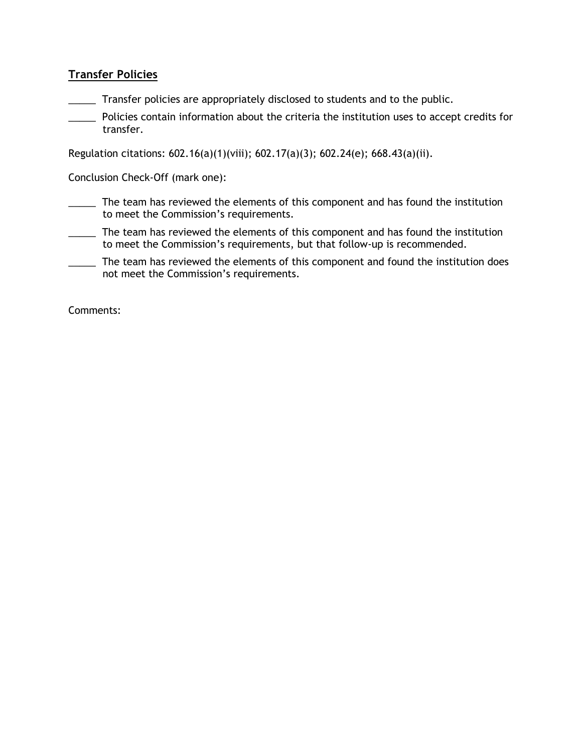## **Transfer Policies**

\_\_\_\_\_ Transfer policies are appropriately disclosed to students and to the public.

\_\_\_\_\_ Policies contain information about the criteria the institution uses to accept credits for transfer.

Regulation citations: 602.16(a)(1)(viii); 602.17(a)(3); 602.24(e); 668.43(a)(ii).

Conclusion Check-Off (mark one):

- \_\_\_\_\_ The team has reviewed the elements of this component and has found the institution to meet the Commission's requirements.
- \_\_\_\_\_ The team has reviewed the elements of this component and has found the institution to meet the Commission's requirements, but that follow-up is recommended.
- \_\_\_\_\_ The team has reviewed the elements of this component and found the institution does not meet the Commission's requirements.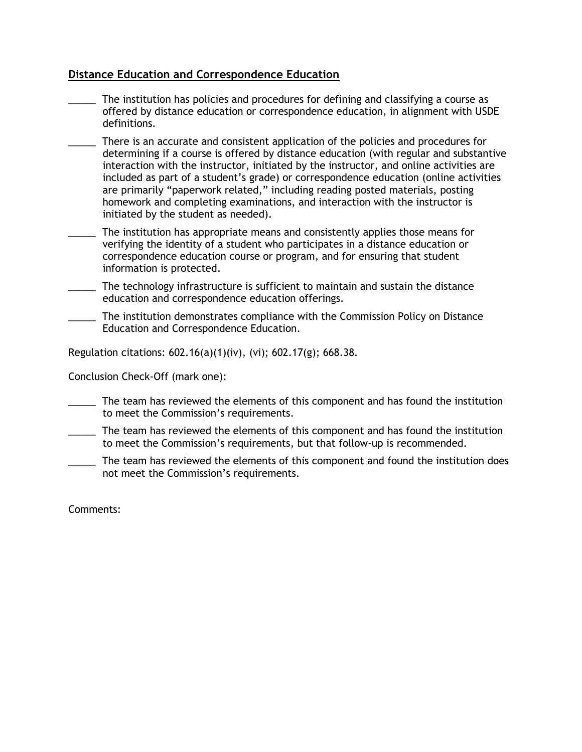## **Distance Education and Correspondence Education**

- The institution has policies and procedures for defining and classifying a course as offered by distance education or correspondence education, in alignment with USDE definitions.
- There is an accurate and consistent application of the policies and procedures for determining if a course is offered by distance education (with regular and substantive interaction with the instructor, initiated by the instructor, and online activities are included as part of a student's grade) or correspondence education (online activities are primarily "paperwork related," including reading posted materials, posting homework and completing examinations, and interaction with the instructor is initiated by the student as needed).
- The institution has appropriate means and consistently applies those means for verifying the identity of a student who participates in a distance education or correspondence education course or program, and for ensuring that student information is protected.
- \_\_\_\_\_ The technology infrastructure is sufficient to maintain and sustain the distance education and correspondence education offerings.
- \_\_\_\_\_ The institution demonstrates compliance with the Commission Policy on Distance Education and Correspondence Education.

Regulation citations: 602.16(a)(1)(iv), (vi); 602.17(g); 668.38.

Conclusion Check-Off (mark one):

- \_\_\_\_\_ The team has reviewed the elements of this component and has found the institution to meet the Commission's requirements.
- \_\_\_\_\_ The team has reviewed the elements of this component and has found the institution to meet the Commission's requirements, but that follow-up is recommended.
- The team has reviewed the elements of this component and found the institution does not meet the Commission's requirements.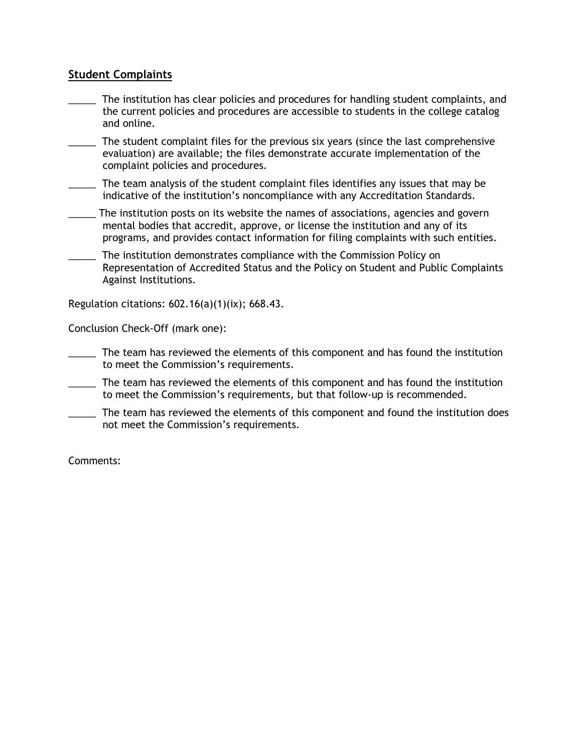## **Student Complaints**

- The institution has clear policies and procedures for handling student complaints, and the current policies and procedures are accessible to students in the college catalog and online.
- \_\_\_\_\_ The student complaint files for the previous six years (since the last comprehensive evaluation) are available; the files demonstrate accurate implementation of the complaint policies and procedures.
- \_\_\_\_\_ The team analysis of the student complaint files identifies any issues that may be indicative of the institution's noncompliance with any Accreditation Standards.
- \_\_\_\_\_ The institution posts on its website the names of associations, agencies and govern mental bodies that accredit, approve, or license the institution and any of its programs, and provides contact information for filing complaints with such entities.
- The institution demonstrates compliance with the Commission Policy on Representation of Accredited Status and the Policy on Student and Public Complaints Against Institutions.

Regulation citations: 602.16(a)(1)(ix); 668.43.

Conclusion Check-Off (mark one):

- \_\_\_\_\_ The team has reviewed the elements of this component and has found the institution to meet the Commission's requirements.
- The team has reviewed the elements of this component and has found the institution to meet the Commission's requirements, but that follow-up is recommended.
- \_\_\_\_\_ The team has reviewed the elements of this component and found the institution does not meet the Commission's requirements.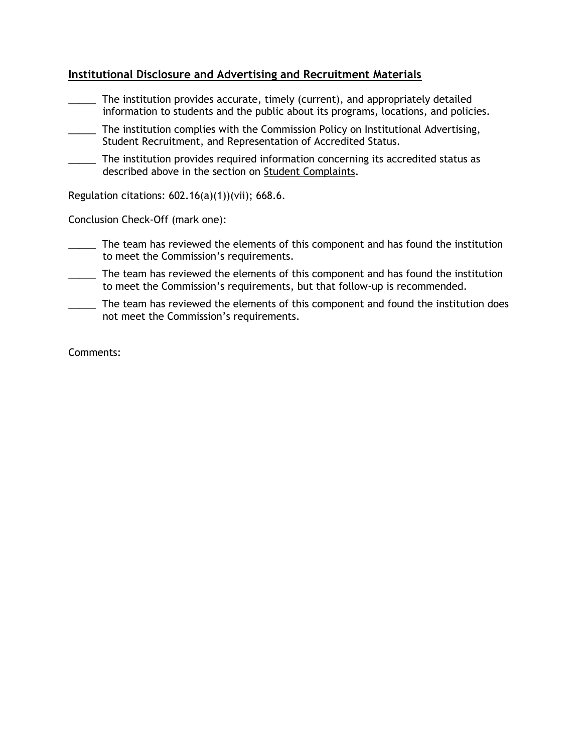## **Institutional Disclosure and Advertising and Recruitment Materials**

- The institution provides accurate, timely (current), and appropriately detailed information to students and the public about its programs, locations, and policies.
- \_\_\_\_\_ The institution complies with the Commission Policy on Institutional Advertising, Student Recruitment, and Representation of Accredited Status.
- The institution provides required information concerning its accredited status as described above in the section on Student Complaints.

Regulation citations: 602.16(a)(1))(vii); 668.6.

Conclusion Check-Off (mark one):

- \_\_\_\_\_ The team has reviewed the elements of this component and has found the institution to meet the Commission's requirements.
- \_\_\_\_\_ The team has reviewed the elements of this component and has found the institution to meet the Commission's requirements, but that follow-up is recommended.
- The team has reviewed the elements of this component and found the institution does not meet the Commission's requirements.